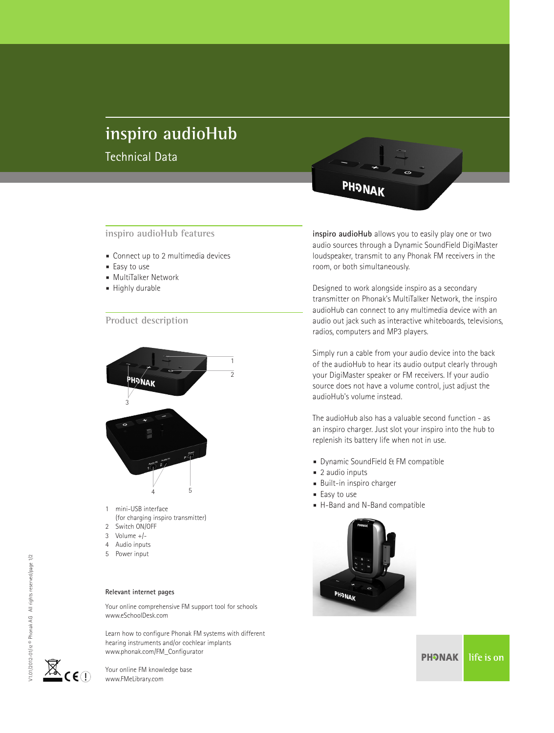# **inspiro audioHub**

Technical Data

- *■* Connect up to 2 multimedia devices
- *■* Easy to use
- *■* MultiTalker Network
- *■* Highly durable

#### **Product description**



- mini-USB interface
- (for charging inspiro transmitter)
- 2 Switch ON/OFF
- 3 Volume +/- 4 Audio inputs
- 5 Power input

#### **Relevant internet pages**

Your online comprehensive FM support tool for schools www.eSchoolDesk.com

Learn how to configure Phonak FM systems with different hearing instruments and/or cochlear implants www.phonak.com/FM\_Configurator

Your online FM knowledge base www.FMeLibrary.com

PHONAK

**inspiro audioHub features inspiro audioHub** allows you to easily play one or two audio sources through a Dynamic SoundField DigiMaster loudspeaker, transmit to any Phonak FM receivers in the room, or both simultaneously.

> Designed to work alongside inspiro as a secondary transmitter on Phonak's MultiTalker Network, the inspiro audioHub can connect to any multimedia device with an audio out jack such as interactive whiteboards, televisions, radios, computers and MP3 players.

Simply run a cable from your audio device into the back of the audioHub to hear its audio output clearly through your DigiMaster speaker or FM receivers. If your audio source does not have a volume control, just adjust the audioHub's volume instead.

The audioHub also has a valuable second function - as an inspiro charger. Just slot your inspiro into the hub to replenish its battery life when not in use.

- *■* Dynamic SoundField & FM compatible
- *■* 2 audio inputs
- *■* Built-in inspiro charger
- *■* Easy to use
- *■* H-Band and N-Band compatible





**PHONAK** life is on